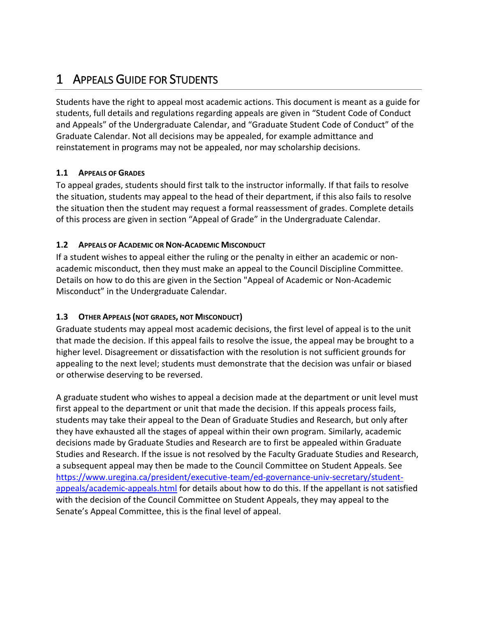# 1 APPEALS GUIDE FOR STUDENTS

Students have the right to appeal most academic actions. This document is meant as a guide for students, full details and regulations regarding appeals are given in "Student Code of Conduct and Appeals" of the Undergraduate Calendar, and "Graduate Student Code of Conduct" of the Graduate Calendar. Not all decisions may be appealed, for example admittance and reinstatement in programs may not be appealed, nor may scholarship decisions.

# **1.1 APPEALS OF GRADES**

To appeal grades, students should first talk to the instructor informally. If that fails to resolve the situation, students may appeal to the head of their department, if this also fails to resolve the situation then the student may request a formal reassessment of grades. Complete details of this process are given in section "Appeal of Grade" in the Undergraduate Calendar.

# **1.2 APPEALS OF ACADEMIC OR NON-ACADEMIC MISCONDUCT**

If a student wishes to appeal either the ruling or the penalty in either an academic or nonacademic misconduct, then they must make an appeal to the Council Discipline Committee. Details on how to do this are given in the Section "Appeal of Academic or Non-Academic Misconduct" in the Undergraduate Calendar.

# **1.3 OTHER APPEALS (NOT GRADES, NOT MISCONDUCT)**

Graduate students may appeal most academic decisions, the first level of appeal is to the unit that made the decision. If this appeal fails to resolve the issue, the appeal may be brought to a higher level. Disagreement or dissatisfaction with the resolution is not sufficient grounds for appealing to the next level; students must demonstrate that the decision was unfair or biased or otherwise deserving to be reversed.

A graduate student who wishes to appeal a decision made at the department or unit level must first appeal to the department or unit that made the decision. If this appeals process fails, students may take their appeal to the Dean of Graduate Studies and Research, but only after they have exhausted all the stages of appeal within their own program. Similarly, academic decisions made by Graduate Studies and Research are to first be appealed within Graduate Studies and Research. If the issue is not resolved by the Faculty Graduate Studies and Research, a subsequent appeal may then be made to the Council Committee on Student Appeals. See [https://www.uregina.ca/president/executive-team/ed-governance-univ-secretary/student](https://www.uregina.ca/president/executive-team/ed-governance-univ-secretary/student-appeals/academic-appeals.html)[appeals/academic-appeals.html](https://www.uregina.ca/president/executive-team/ed-governance-univ-secretary/student-appeals/academic-appeals.html) for details about how to do this. If the appellant is not satisfied with the decision of the Council Committee on Student Appeals, they may appeal to the Senate's Appeal Committee, this is the final level of appeal.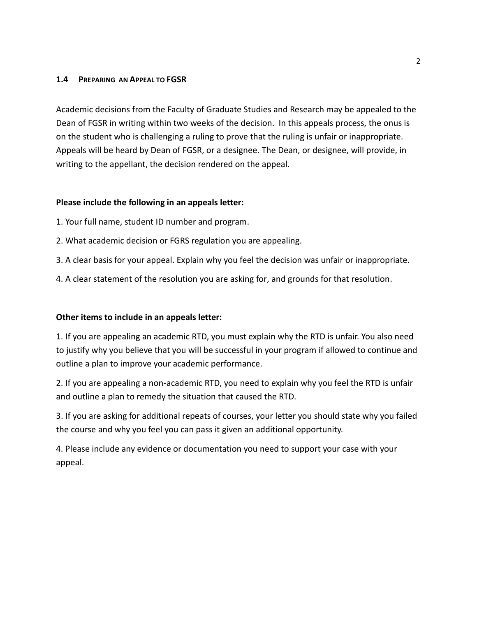#### **1.4 PREPARING AN APPEAL TO FGSR**

Academic decisions from the Faculty of Graduate Studies and Research may be appealed to the Dean of FGSR in writing within two weeks of the decision. In this appeals process, the onus is on the student who is challenging a ruling to prove that the ruling is unfair or inappropriate. Appeals will be heard by Dean of FGSR, or a designee. The Dean, or designee, will provide, in writing to the appellant, the decision rendered on the appeal.

#### **Please include the following in an appeals letter:**

- 1. Your full name, student ID number and program.
- 2. What academic decision or FGRS regulation you are appealing.
- 3. A clear basis for your appeal. Explain why you feel the decision was unfair or inappropriate.
- 4. A clear statement of the resolution you are asking for, and grounds for that resolution.

### **Other items to include in an appeals letter:**

1. If you are appealing an academic RTD, you must explain why the RTD is unfair. You also need to justify why you believe that you will be successful in your program if allowed to continue and outline a plan to improve your academic performance.

2. If you are appealing a non-academic RTD, you need to explain why you feel the RTD is unfair and outline a plan to remedy the situation that caused the RTD.

3. If you are asking for additional repeats of courses, your letter you should state why you failed the course and why you feel you can pass it given an additional opportunity.

4. Please include any evidence or documentation you need to support your case with your appeal.